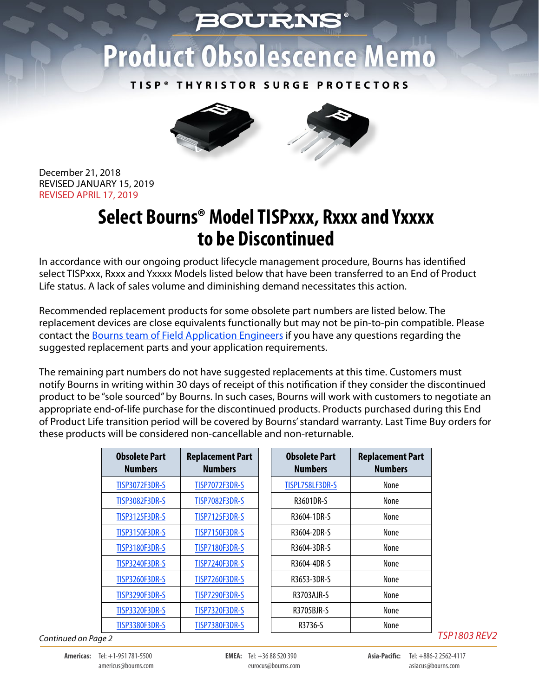## **BOURNS**

## **Product Obsolescence Memo**

**TISP® THYRISTOR SURGE PROTECTORS**



December 21, 2018 REVISED JANUARY 15, 2019 REVISED APRIL 17, 2019

## **Select Bourns® Model TISPxxx, Rxxx and Yxxxx to be Discontinued**

In accordance with our ongoing product lifecycle management procedure, Bourns has identified select TISPxxx, Rxxx and Yxxxx Models listed below that have been transferred to an End of Product Life status. A lack of sales volume and diminishing demand necessitates this action.

Recommended replacement products for some obsolete part numbers are listed below. The replacement devices are close equivalents functionally but may not be pin-to-pin compatible. Please contact the [Bourns team of Field Application Engineers](https://www.bourns.com/support/contact) if you have any questions regarding the suggested replacement parts and your application requirements.

The remaining part numbers do not have suggested replacements at this time. Customers must notify Bourns in writing within 30 days of receipt of this notification if they consider the discontinued product to be "sole sourced" by Bourns. In such cases, Bourns will work with customers to negotiate an appropriate end-of-life purchase for the discontinued products. Products purchased during this End of Product Life transition period will be covered by Bourns' standard warranty. Last Time Buy orders for these products will be considered non-cancellable and non-returnable.

| <b>Obsolete Part</b><br><b>Numbers</b> | <b>Replacement Part</b><br><b>Numbers</b> | <b>Obsolete Part</b><br><b>Numbers</b> | <b>Replacement Part</b><br><b>Numbers</b> |
|----------------------------------------|-------------------------------------------|----------------------------------------|-------------------------------------------|
| <b>TISP3072F3DR-S</b>                  | <b>TISP7072F3DR-S</b>                     | TISPL758LF3DR-S                        | None                                      |
| <b>TISP3082F3DR-S</b>                  | <b>TISP7082F3DR-S</b>                     | R3601DR-S                              | None                                      |
| <b>TISP3125F3DR-S</b>                  | <b>TISP7125F3DR-S</b>                     | R3604-1DR-S                            | <b>None</b>                               |
| <b>TISP3150F3DR-S</b>                  | <b>TISP7150F3DR-S</b>                     | R3604-2DR-S                            | None                                      |
| <b>TISP3180F3DR-S</b>                  | <b>TISP7180F3DR-S</b>                     | R3604-3DR-S                            | None                                      |
| <b>TISP3240F3DR-S</b>                  | <b>TISP7240F3DR-S</b>                     | R3604-4DR-S                            | None                                      |
| <b>TISP3260F3DR-S</b>                  | <b>TISP7260F3DR-S</b>                     | R3653-3DR-S                            | <b>None</b>                               |
| <b>TISP3290F3DR-S</b>                  | <b>TISP7290F3DR-S</b>                     | R3703AJR-S                             | None                                      |
| <b>TISP3320F3DR-S</b>                  | <b>TISP7320F3DR-S</b>                     | R3705BJR-S                             | None                                      |
| <b>TISP3380F3DR-S</b>                  | <b>TISP7380F3DR-S</b>                     | R3736-S                                | None                                      |

*Continued on Page 2*

*TSP1803 REV2*